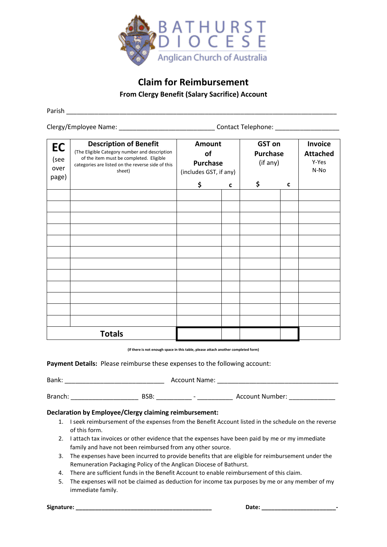

# **Claim for Reimbursement**

**From Clergy Benefit (Salary Sacrifice) Account**

Parish \_\_\_\_\_\_\_\_\_\_\_\_\_\_\_\_\_\_\_\_\_\_\_\_\_\_\_\_\_\_\_\_\_\_\_\_\_\_\_\_\_\_\_\_\_\_\_\_\_\_\_\_\_\_\_\_\_\_\_\_\_\_\_\_\_\_\_\_\_\_\_\_\_\_\_\_

Clergy/Employee Name: \_\_\_\_\_\_\_\_\_\_\_\_\_\_\_\_\_\_\_\_\_\_\_\_\_\_\_\_\_\_\_\_\_\_\_Contact Telephone: \_\_\_\_\_\_\_\_\_\_\_\_\_\_\_\_\_\_\_\_\_\_\_

| EC<br>(see<br>over | <b>Description of Benefit</b><br>(The Eligible Category number and description<br>of the item must be completed. Eligible<br>categories are listed on the reverse side of this<br>sheet) | Amount<br>of<br><b>Purchase</b><br>(includes GST, if any) |             | <b>GST</b> on<br><b>Purchase</b><br>(if any) |   | Invoice<br><b>Attached</b><br>Y-Yes<br>N-No |
|--------------------|------------------------------------------------------------------------------------------------------------------------------------------------------------------------------------------|-----------------------------------------------------------|-------------|----------------------------------------------|---|---------------------------------------------|
| page)              |                                                                                                                                                                                          | \$                                                        | $\mathbf c$ | \$                                           | C |                                             |
|                    |                                                                                                                                                                                          |                                                           |             |                                              |   |                                             |
|                    |                                                                                                                                                                                          |                                                           |             |                                              |   |                                             |
|                    |                                                                                                                                                                                          |                                                           |             |                                              |   |                                             |
|                    |                                                                                                                                                                                          |                                                           |             |                                              |   |                                             |
|                    |                                                                                                                                                                                          |                                                           |             |                                              |   |                                             |
|                    |                                                                                                                                                                                          |                                                           |             |                                              |   |                                             |
|                    |                                                                                                                                                                                          |                                                           |             |                                              |   |                                             |
|                    |                                                                                                                                                                                          |                                                           |             |                                              |   |                                             |
|                    |                                                                                                                                                                                          |                                                           |             |                                              |   |                                             |
|                    |                                                                                                                                                                                          |                                                           |             |                                              |   |                                             |
|                    | <b>Totals</b>                                                                                                                                                                            |                                                           |             |                                              |   |                                             |

**(If there is not enough space in this table, please attach another completed form)**

**Payment Details:** Please reimburse these expenses to the following account:

| Bank:   |      | <b>Account Name:</b>     |                 |  |
|---------|------|--------------------------|-----------------|--|
|         |      |                          |                 |  |
| Branch: | BSB: | $\overline{\phantom{0}}$ | Account Number: |  |

#### **Declaration by Employee/Clergy claiming reimbursement:**

- 1. I seek reimbursement of the expenses from the Benefit Account listed in the schedule on the reverse of this form.
- 2. I attach tax invoices or other evidence that the expenses have been paid by me or my immediate family and have not been reimbursed from any other source.
- 3. The expenses have been incurred to provide benefits that are eligible for reimbursement under the Remuneration Packaging Policy of the Anglican Diocese of Bathurst.
- 4. There are sufficient funds in the Benefit Account to enable reimbursement of this claim.
- 5. The expenses will not be claimed as deduction for income tax purposes by me or any member of my immediate family.